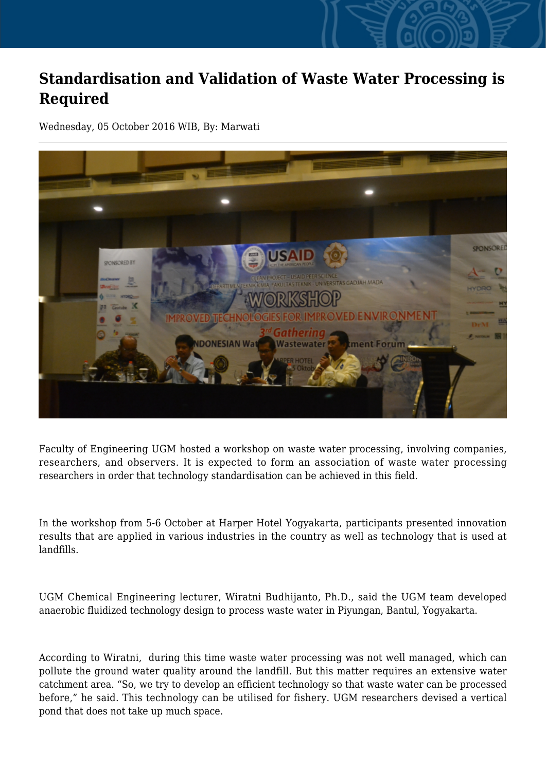## **Standardisation and Validation of Waste Water Processing is Required**

Wednesday, 05 October 2016 WIB, By: Marwati



Faculty of Engineering UGM hosted a workshop on waste water processing, involving companies, researchers, and observers. It is expected to form an association of waste water processing researchers in order that technology standardisation can be achieved in this field.

In the workshop from 5-6 October at Harper Hotel Yogyakarta, participants presented innovation results that are applied in various industries in the country as well as technology that is used at landfills.

UGM Chemical Engineering lecturer, Wiratni Budhijanto, Ph.D., said the UGM team developed anaerobic fluidized technology design to process waste water in Piyungan, Bantul, Yogyakarta.

According to Wiratni, during this time waste water processing was not well managed, which can pollute the ground water quality around the landfill. But this matter requires an extensive water catchment area. "So, we try to develop an efficient technology so that waste water can be processed before," he said. This technology can be utilised for fishery. UGM researchers devised a vertical pond that does not take up much space.